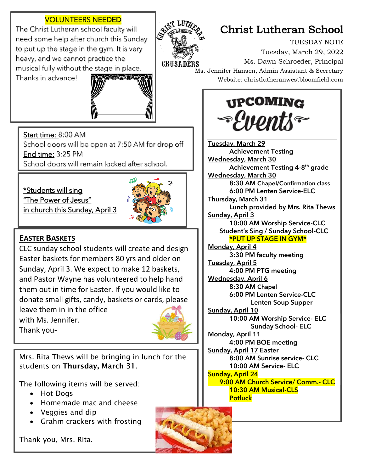### VOLUNTEERS NEEDED

The Christ Lutheran school faculty will need some help after church this Sunday to put up the stage in the gym. It is very heavy, and we cannot practice the musical fully without the stage in place.



# Christ Lutheran School

TUESDAY NOTE Tuesday, March 29, 2022 Ms. Dawn Schroeder, Principal Ms. Jennifer Hansen, Admin Assistant & Secretary Website: christlutheranwestbloomfield.com

**UPCOMING** 

*-{nonti~* 

Thanks in advance!



Start time: 8:00 AM

School doors will be open at 7:50 AM for drop off **End time: 3:25 PM** 

School doors will remain locked after school.

\*Students will sing "The Power of Jesus" in church this Sunday, April 3



### **EASTER BASKETS**

ī

CLC sunday school students will create and design Easter baskets for members 80 yrs and older on Sunday, April 3. We expect to make 12 baskets, and Pastor Wayne has volunteered to help hand them out in time for Easter. If you would like to donate small gifts, candy, baskets or cards, please

leave them in in the office with Ms. Jennifer. Thank you-

 $\overline{a}$ 



Mrs. Rita Thews will be bringing in lunch for the students on Thursday, March 31.

The following items will be served:

- Hot Dogs
- Homemade mac and cheese
- Veggies and dip
- Grahm crackers with frosting

Thank you, Mrs. Rita.

Tuesday, March 29 Achievement Testing Wednesday, March 30 Achievement Testing 4-8<sup>th</sup> grade Wednesday, March 30 8:30 AM Chapel/Confirmation class 6:00 PM Lenten Service-ELC Thursday, March 31 Lunch provided by Mrs. Rita Thews Sunday, April 3 10:00 AM Worship Service-CLC Student's Sing / Sunday School-CLC \*PUT UP STAGE IN GYM\* Monday, April 4 3:30 PM faculty meeting Tuesday, April 5 4:00 PM PTG meeting Wednesday, April 6 8:30 AM Chapel 6:00 PM Lenten Service-CLC Lenten Soup Supper Sunday, April 10 10:00 AM Worship Service- ELC Sunday School- ELC Monday, April 11 4:00 PM BOE meeting Sunday, April 17 Easter 8:00 AM Sunrise service- CLC 10:00 AM Service- ELC Sunday, April 24 9:00 AM Church Service/ Comm.- CLC 10:30 AM Musical-CLS **Potluck**